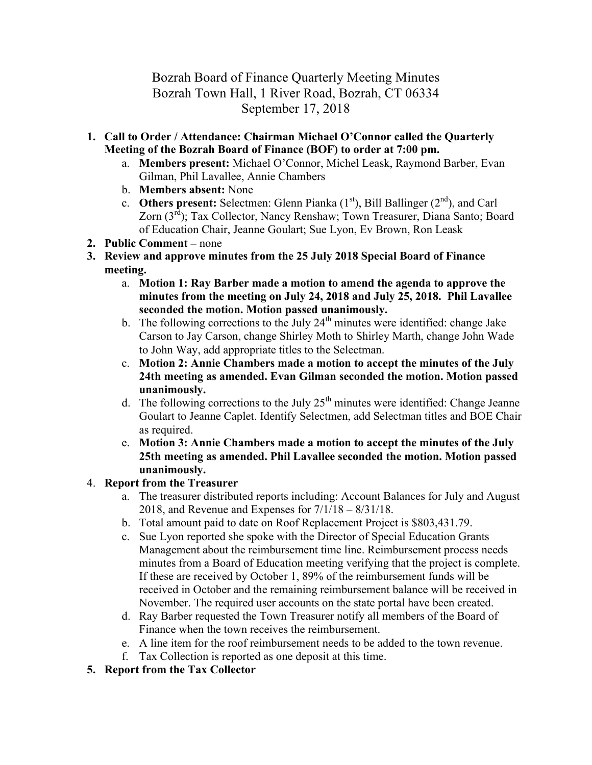## Bozrah Board of Finance Quarterly Meeting Minutes Bozrah Town Hall, 1 River Road, Bozrah, CT 06334 September 17, 2018

- **1. Call to Order / Attendance: Chairman Michael O'Connor called the Quarterly Meeting of the Bozrah Board of Finance (BOF) to order at 7:00 pm.**
	- a. **Members present:** Michael O'Connor, Michel Leask, Raymond Barber, Evan Gilman, Phil Lavallee, Annie Chambers
	- b. **Members absent:** None
	- c. **Others present:** Selectmen: Glenn Pianka  $(1<sup>st</sup>)$ , Bill Ballinger  $(2<sup>nd</sup>)$ , and Carl Zorn (3rd); Tax Collector, Nancy Renshaw; Town Treasurer, Diana Santo; Board of Education Chair, Jeanne Goulart; Sue Lyon, Ev Brown, Ron Leask
- **2. Public Comment –** none
- **3. Review and approve minutes from the 25 July 2018 Special Board of Finance meeting.**
	- a. **Motion 1: Ray Barber made a motion to amend the agenda to approve the minutes from the meeting on July 24, 2018 and July 25, 2018. Phil Lavallee seconded the motion. Motion passed unanimously.**
	- b. The following corrections to the July  $24<sup>th</sup>$  minutes were identified: change Jake Carson to Jay Carson, change Shirley Moth to Shirley Marth, change John Wade to John Way, add appropriate titles to the Selectman.
	- c. **Motion 2: Annie Chambers made a motion to accept the minutes of the July 24th meeting as amended. Evan Gilman seconded the motion. Motion passed unanimously.**
	- d. The following corrections to the July  $25<sup>th</sup>$  minutes were identified: Change Jeanne Goulart to Jeanne Caplet. Identify Selectmen, add Selectman titles and BOE Chair as required.
	- e. **Motion 3: Annie Chambers made a motion to accept the minutes of the July 25th meeting as amended. Phil Lavallee seconded the motion. Motion passed unanimously.**
- 4. **Report from the Treasurer**
	- a. The treasurer distributed reports including: Account Balances for July and August 2018, and Revenue and Expenses for 7/1/18 – 8/31/18.
	- b. Total amount paid to date on Roof Replacement Project is \$803,431.79.
	- c. Sue Lyon reported she spoke with the Director of Special Education Grants Management about the reimbursement time line. Reimbursement process needs minutes from a Board of Education meeting verifying that the project is complete. If these are received by October 1, 89% of the reimbursement funds will be received in October and the remaining reimbursement balance will be received in November. The required user accounts on the state portal have been created.
	- d. Ray Barber requested the Town Treasurer notify all members of the Board of Finance when the town receives the reimbursement.
	- e. A line item for the roof reimbursement needs to be added to the town revenue.
	- f. Tax Collection is reported as one deposit at this time.
- **5. Report from the Tax Collector**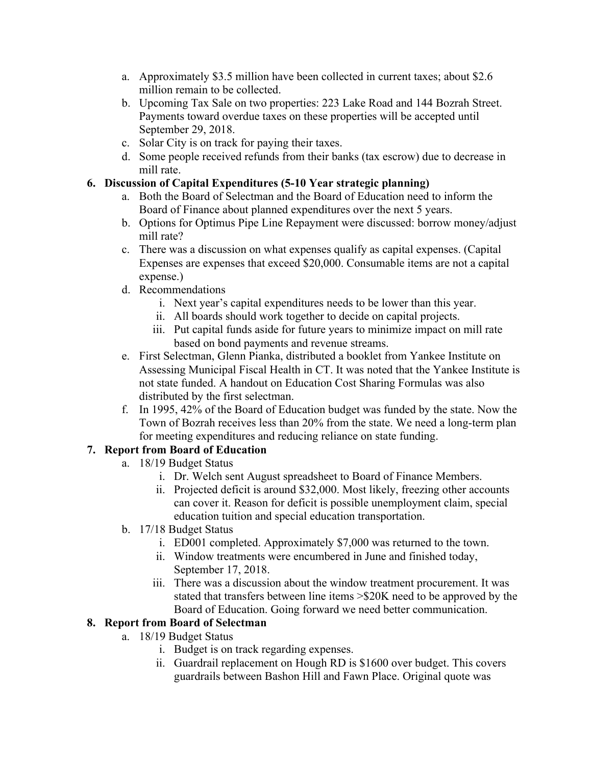- a. Approximately \$3.5 million have been collected in current taxes; about \$2.6 million remain to be collected.
- b. Upcoming Tax Sale on two properties: 223 Lake Road and 144 Bozrah Street. Payments toward overdue taxes on these properties will be accepted until September 29, 2018.
- c. Solar City is on track for paying their taxes.
- d. Some people received refunds from their banks (tax escrow) due to decrease in mill rate.

## **6. Discussion of Capital Expenditures (5-10 Year strategic planning)**

- a. Both the Board of Selectman and the Board of Education need to inform the Board of Finance about planned expenditures over the next 5 years.
- b. Options for Optimus Pipe Line Repayment were discussed: borrow money/adjust mill rate?
- c. There was a discussion on what expenses qualify as capital expenses. (Capital Expenses are expenses that exceed \$20,000. Consumable items are not a capital expense.)
- d. Recommendations
	- i. Next year's capital expenditures needs to be lower than this year.
	- ii. All boards should work together to decide on capital projects.
	- iii. Put capital funds aside for future years to minimize impact on mill rate based on bond payments and revenue streams.
- e. First Selectman, Glenn Pianka, distributed a booklet from Yankee Institute on Assessing Municipal Fiscal Health in CT. It was noted that the Yankee Institute is not state funded. A handout on Education Cost Sharing Formulas was also distributed by the first selectman.
- f. In 1995, 42% of the Board of Education budget was funded by the state. Now the Town of Bozrah receives less than 20% from the state. We need a long-term plan for meeting expenditures and reducing reliance on state funding.

## **7. Report from Board of Education**

- a. 18/19 Budget Status
	- i. Dr. Welch sent August spreadsheet to Board of Finance Members.
	- ii. Projected deficit is around \$32,000. Most likely, freezing other accounts can cover it. Reason for deficit is possible unemployment claim, special education tuition and special education transportation.
- b. 17/18 Budget Status
	- i. ED001 completed. Approximately \$7,000 was returned to the town.
	- ii. Window treatments were encumbered in June and finished today, September 17, 2018.
	- iii. There was a discussion about the window treatment procurement. It was stated that transfers between line items >\$20K need to be approved by the Board of Education. Going forward we need better communication.

## **8. Report from Board of Selectman**

- a. 18/19 Budget Status
	- i. Budget is on track regarding expenses.
	- ii. Guardrail replacement on Hough RD is \$1600 over budget. This covers guardrails between Bashon Hill and Fawn Place. Original quote was